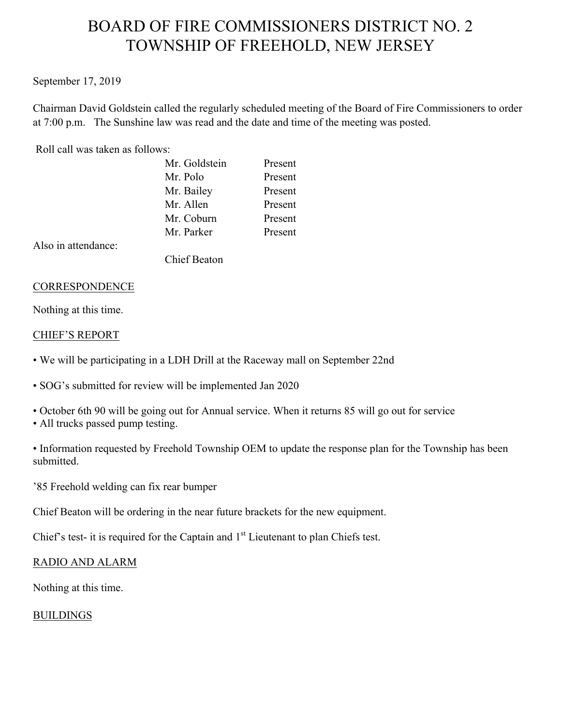# BOARD OF FIRE COMMISSIONERS DISTRICT NO. 2 TOWNSHIP OF FREEHOLD, NEW JERSEY

### September 17, 2019

Chairman David Goldstein called the regularly scheduled meeting of the Board of Fire Commissioners to order at 7:00 p.m. The Sunshine law was read and the date and time of the meeting was posted.

### Roll call was taken as follows:

| Mr. Goldstein | Present |
|---------------|---------|
| Mr. Polo      | Present |
| Mr. Bailey    | Present |
| Mr. Allen     | Present |
| Mr. Coburn    | Present |
| Mr. Parker    | Present |
|               |         |

Also in attendance:

Chief Beaton

### CORRESPONDENCE

Nothing at this time.

### CHIEF'S REPORT

- We will be participating in a LDH Drill at the Raceway mall on September 22nd
- SOG's submitted for review will be implemented Jan 2020
- October 6th 90 will be going out for Annual service. When it returns 85 will go out for service
- All trucks passed pump testing.
- Information requested by Freehold Township OEM to update the response plan for the Township has been submitted.

'85 Freehold welding can fix rear bumper

Chief Beaton will be ordering in the near future brackets for the new equipment.

Chief's test- it is required for the Captain and  $1<sup>st</sup>$  Lieutenant to plan Chiefs test.

# RADIO AND ALARM

Nothing at this time.

# BUILDINGS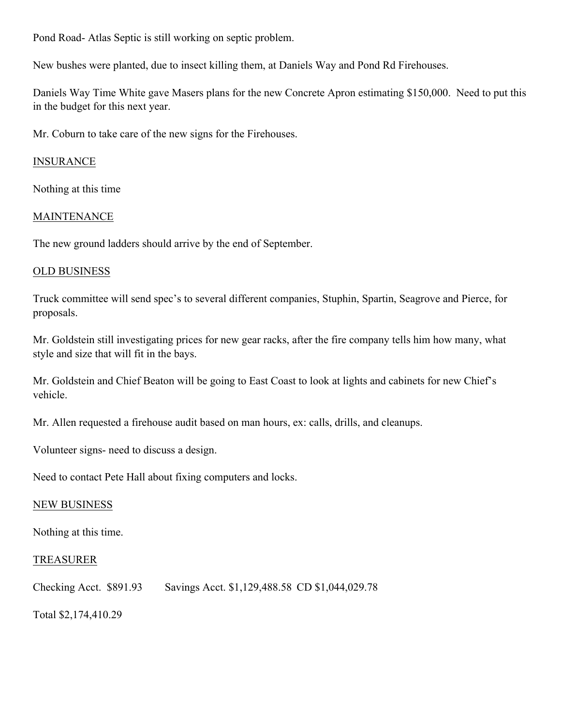Pond Road- Atlas Septic is still working on septic problem.

New bushes were planted, due to insect killing them, at Daniels Way and Pond Rd Firehouses.

Daniels Way Time White gave Masers plans for the new Concrete Apron estimating \$150,000. Need to put this in the budget for this next year.

Mr. Coburn to take care of the new signs for the Firehouses.

## INSURANCE

Nothing at this time

### MAINTENANCE

The new ground ladders should arrive by the end of September.

### OLD BUSINESS

Truck committee will send spec's to several different companies, Stuphin, Spartin, Seagrove and Pierce, for proposals.

Mr. Goldstein still investigating prices for new gear racks, after the fire company tells him how many, what style and size that will fit in the bays.

Mr. Goldstein and Chief Beaton will be going to East Coast to look at lights and cabinets for new Chief's vehicle.

Mr. Allen requested a firehouse audit based on man hours, ex: calls, drills, and cleanups.

Volunteer signs- need to discuss a design.

Need to contact Pete Hall about fixing computers and locks.

### NEW BUSINESS

Nothing at this time.

### TREASURER

Checking Acct. \$891.93 Savings Acct. \$1,129,488.58 CD \$1,044,029.78

Total \$2,174,410.29